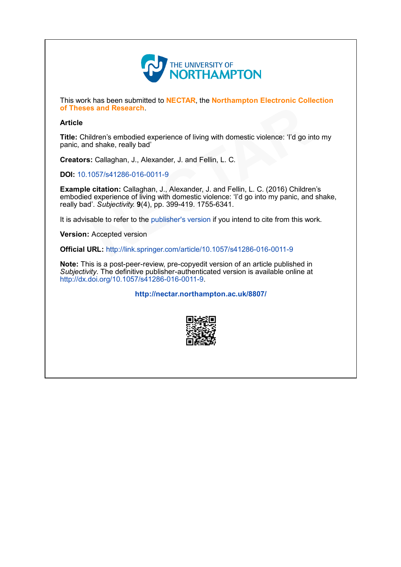

This work has been submitted to NECTAR, the Northampton Electronic Collection of Theses and Research.

#### Article

Title: Children's embodied experience of living with domestic violence: 'I'd go into my panic, and shake, really bad'

Creators: Callaghan, J., Alexander, J. and Fellin, L. C.

DOI: 10.1057/s41286-016-0011-9

Example citation: Callaghan, J., Alexander, J. and Fellin, L. C. (2016) Children's embodied experience of living with domestic violence: 'I'd go into my panic, and shake, really bad'. Subjectivity.  $9(4)$ , pp. 399-419. 1755-6341. s and Research.<br>
Idren's embodied experience of living with domestic violence: 'I'd go in<br>
d shake, really bad'<br>
: Callaghan, J., Alexander, J. and Fellin, L. C.<br>
057/s41286-016-0011-9<br>
citation: Callaghan, J., Alexander,

It is advisable to refer to the publisher's version if you intend to cite from this work.

Version: Accepted version

Official URL: http://link.springer.com/article/10.1057/s41286-016-0011-9

Note: This is a post-peer-review, pre-copyedit version of an article published in Subjectivity. The definitive publisher-authenticated version is available online at http://dx.doi.org/10.1057/s41286-016-0011-9.

<http://nectar.northampton.ac.uk/8807/>

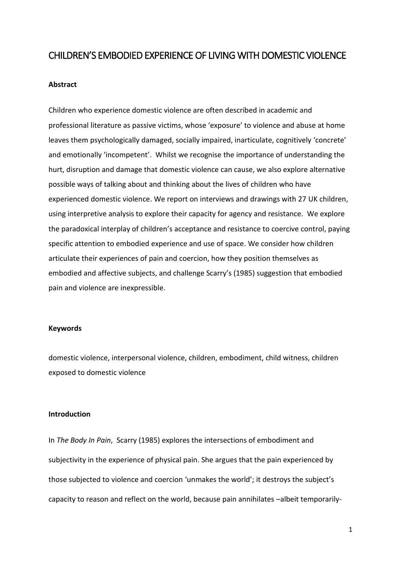# CHILDREN'S EMBODIED EXPERIENCE OF LIVING WITH DOMESTIC VIOLENCE

# **Abstract**

Children who experience domestic violence are often described in academic and professional literature as passive victims, whose 'exposure' to violence and abuse at home leaves them psychologically damaged, socially impaired, inarticulate, cognitively 'concrete' and emotionally 'incompetent'. Whilst we recognise the importance of understanding the hurt, disruption and damage that domestic violence can cause, we also explore alternative possible ways of talking about and thinking about the lives of children who have experienced domestic violence. We report on interviews and drawings with 27 UK children, using interpretive analysis to explore their capacity for agency and resistance. We explore the paradoxical interplay of children's acceptance and resistance to coercive control, paying specific attention to embodied experience and use of space. We consider how children articulate their experiences of pain and coercion, how they position themselves as embodied and affective subjects, and challenge Scarry's (1985) suggestion that embodied pain and violence are inexpressible.

# **Kevwords**

domestic violence, interpersonal violence, children, embodiment, child witness, children exposed to domestic violence

# Introduction

In The Body In Pain, Scarry (1985) explores the intersections of embodiment and subjectivity in the experience of physical pain. She argues that the pain experienced by those subjected to violence and coercion 'unmakes the world'; it destroys the subject's capacity to reason and reflect on the world, because pain annihilates -albeit temporarily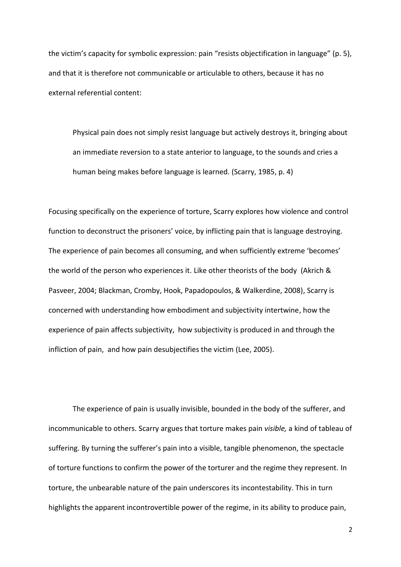the victim's capacity for symbolic expression: pain "resists objectification in language" (p. 5), and that it is therefore not communicable or articulable to others, because it has no external referential content:

Physical pain does not simply resist language but actively destroys it, bringing about an immediate reversion to a state anterior to language, to the sounds and cries a human being makes before language is learned. (Scarry, 1985, p. 4)

Focusing specifically on the experience of torture, Scarry explores how violence and control function to deconstruct the prisoners' voice, by inflicting pain that is language destroying. The experience of pain becomes all consuming, and when sufficiently extreme 'becomes' the world of the person who experiences it. Like other theorists of the body (Akrich & Pasveer, 2004; Blackman, Cromby, Hook, Papadopoulos, & Walkerdine, 2008), Scarry is concerned with understanding how embodiment and subjectivity intertwine, how the experience of pain affects subjectivity, how subjectivity is produced in and through the infliction of pain, and how pain desubjectifies the victim (Lee, 2005).

The experience of pain is usually invisible, bounded in the body of the sufferer, and incommunicable to others. Scarry argues that torture makes pain visible, a kind of tableau of suffering. By turning the sufferer's pain into a visible, tangible phenomenon, the spectacle of torture functions to confirm the power of the torturer and the regime they represent. In torture, the unbearable nature of the pain underscores its incontestability. This in turn highlights the apparent incontrovertible power of the regime, in its ability to produce pain,

 $\overline{2}$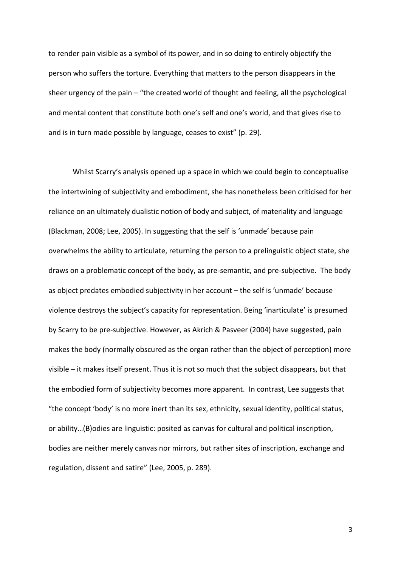to render pain visible as a symbol of its power, and in so doing to entirely objectify the person who suffers the torture. Everything that matters to the person disappears in the sheer urgency of the pain – "the created world of thought and feeling, all the psychological and mental content that constitute both one's self and one's world, and that gives rise to and is in turn made possible by language, ceases to exist" (p. 29).

Whilst Scarry's analysis opened up a space in which we could begin to conceptualise the intertwining of subjectivity and embodiment, she has nonetheless been criticised for her reliance on an ultimately dualistic notion of body and subject, of materiality and language (Blackman, 2008; Lee, 2005). In suggesting that the self is 'unmade' because pain overwhelms the ability to articulate, returning the person to a prelinguistic object state, she draws on a problematic concept of the body, as pre-semantic, and pre-subjective. The body as object predates embodied subjectivity in her account - the self is 'unmade' because violence destroys the subject's capacity for representation. Being 'inarticulate' is presumed by Scarry to be pre-subjective. However, as Akrich & Pasveer (2004) have suggested, pain makes the body (normally obscured as the organ rather than the object of perception) more visible – it makes itself present. Thus it is not so much that the subject disappears, but that the embodied form of subjectivity becomes more apparent. In contrast, Lee suggests that "the concept 'body' is no more inert than its sex, ethnicity, sexual identity, political status, or ability...(B) odies are linguistic: posited as canvas for cultural and political inscription, bodies are neither merely canvas nor mirrors, but rather sites of inscription, exchange and regulation, dissent and satire" (Lee, 2005, p. 289).

 $\overline{3}$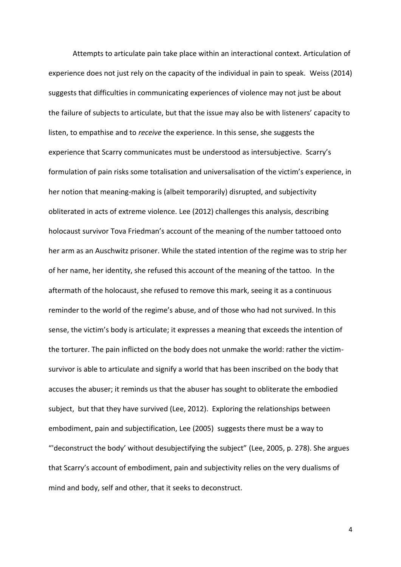Attempts to articulate pain take place within an interactional context. Articulation of experience does not just rely on the capacity of the individual in pain to speak. Weiss (2014) suggests that difficulties in communicating experiences of violence may not just be about the failure of subjects to articulate, but that the issue may also be with listeners' capacity to listen, to empathise and to receive the experience. In this sense, she suggests the experience that Scarry communicates must be understood as intersubjective. Scarry's formulation of pain risks some totalisation and universalisation of the victim's experience, in her notion that meaning-making is (albeit temporarily) disrupted, and subjectivity obliterated in acts of extreme violence. Lee (2012) challenges this analysis, describing holocaust survivor Tova Friedman's account of the meaning of the number tattooed onto her arm as an Auschwitz prisoner. While the stated intention of the regime was to strip her of her name, her identity, she refused this account of the meaning of the tattoo. In the aftermath of the holocaust, she refused to remove this mark, seeing it as a continuous reminder to the world of the regime's abuse, and of those who had not survived. In this sense, the victim's body is articulate; it expresses a meaning that exceeds the intention of the torturer. The pain inflicted on the body does not unmake the world: rather the victimsurvivor is able to articulate and signify a world that has been inscribed on the body that accuses the abuser; it reminds us that the abuser has sought to obliterate the embodied subject, but that they have survived (Lee, 2012). Exploring the relationships between embodiment, pain and subjectification, Lee (2005) suggests there must be a way to "deconstruct the body' without desubjectifying the subject" (Lee, 2005, p. 278). She argues that Scarry's account of embodiment, pain and subjectivity relies on the very dualisms of mind and body, self and other, that it seeks to deconstruct.

 $\overline{4}$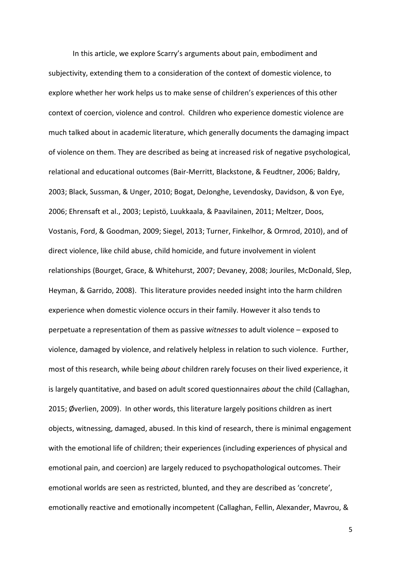In this article, we explore Scarry's arguments about pain, embodiment and subjectivity, extending them to a consideration of the context of domestic violence, to explore whether her work helps us to make sense of children's experiences of this other context of coercion, violence and control. Children who experience domestic violence are much talked about in academic literature, which generally documents the damaging impact of violence on them. They are described as being at increased risk of negative psychological, relational and educational outcomes (Bair-Merritt, Blackstone, & Feudtner, 2006; Baldry, 2003; Black, Sussman, & Unger, 2010; Bogat, DeJonghe, Levendosky, Davidson, & von Eye, 2006; Ehrensaft et al., 2003; Lepistö, Luukkaala, & Paavilainen, 2011; Meltzer, Doos, Vostanis, Ford, & Goodman, 2009; Siegel, 2013; Turner, Finkelhor, & Ormrod, 2010), and of direct violence, like child abuse, child homicide, and future involvement in violent relationships (Bourget, Grace, & Whitehurst, 2007; Devaney, 2008; Jouriles, McDonald, Slep, Heyman, & Garrido, 2008). This literature provides needed insight into the harm children experience when domestic violence occurs in their family. However it also tends to perpetuate a representation of them as passive witnesses to adult violence - exposed to violence, damaged by violence, and relatively helpless in relation to such violence. Further, most of this research, while being about children rarely focuses on their lived experience, it is largely quantitative, and based on adult scored questionnaires about the child (Callaghan, 2015; Øverlien, 2009). In other words, this literature largely positions children as inert objects, witnessing, damaged, abused. In this kind of research, there is minimal engagement with the emotional life of children; their experiences (including experiences of physical and emotional pain, and coercion) are largely reduced to psychopathological outcomes. Their emotional worlds are seen as restricted, blunted, and they are described as 'concrete', emotionally reactive and emotionally incompetent (Callaghan, Fellin, Alexander, Mavrou, &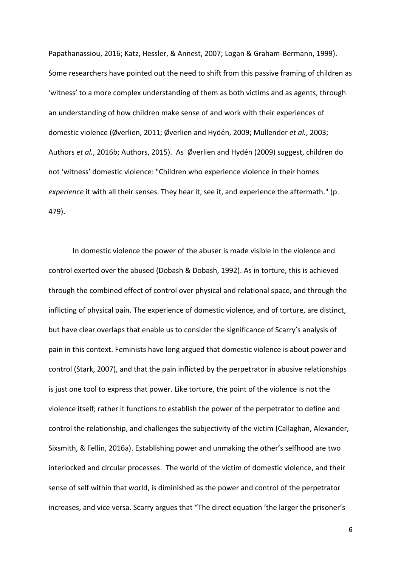Papathanassiou, 2016; Katz, Hessler, & Annest, 2007; Logan & Graham-Bermann, 1999). Some researchers have pointed out the need to shift from this passive framing of children as 'witness' to a more complex understanding of them as both victims and as agents, through an understanding of how children make sense of and work with their experiences of domestic violence (Øverlien, 2011; Øverlien and Hydén, 2009; Mullender et al., 2003; Authors et al., 2016b; Authors, 2015). As Øverlien and Hydén (2009) suggest, children do not 'witness' domestic violence: "Children who experience violence in their homes experience it with all their senses. They hear it, see it, and experience the aftermath." (p. 479).

In domestic violence the power of the abuser is made visible in the violence and control exerted over the abused (Dobash & Dobash, 1992). As in torture, this is achieved through the combined effect of control over physical and relational space, and through the inflicting of physical pain. The experience of domestic violence, and of torture, are distinct, but have clear overlaps that enable us to consider the significance of Scarry's analysis of pain in this context. Feminists have long argued that domestic violence is about power and control (Stark, 2007), and that the pain inflicted by the perpetrator in abusive relationships is just one tool to express that power. Like torture, the point of the violence is not the violence itself; rather it functions to establish the power of the perpetrator to define and control the relationship, and challenges the subjectivity of the victim (Callaghan, Alexander, Sixsmith, & Fellin, 2016a). Establishing power and unmaking the other's selfhood are two interlocked and circular processes. The world of the victim of domestic violence, and their sense of self within that world, is diminished as the power and control of the perpetrator increases, and vice versa. Scarry argues that "The direct equation 'the larger the prisoner's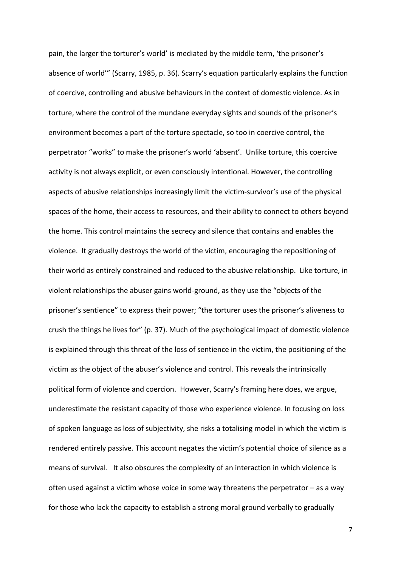pain, the larger the torturer's world' is mediated by the middle term, 'the prisoner's absence of world" (Scarry, 1985, p. 36). Scarry's equation particularly explains the function of coercive, controlling and abusive behaviours in the context of domestic violence. As in torture, where the control of the mundane everyday sights and sounds of the prisoner's environment becomes a part of the torture spectacle, so too in coercive control, the perpetrator "works" to make the prisoner's world 'absent'. Unlike torture, this coercive activity is not always explicit, or even consciously intentional. However, the controlling aspects of abusive relationships increasingly limit the victim-survivor's use of the physical spaces of the home, their access to resources, and their ability to connect to others beyond the home. This control maintains the secrecy and silence that contains and enables the violence. It gradually destroys the world of the victim, encouraging the repositioning of their world as entirely constrained and reduced to the abusive relationship. Like torture, in violent relationships the abuser gains world-ground, as they use the "objects of the prisoner's sentience" to express their power; "the torturer uses the prisoner's aliveness to crush the things he lives for" (p. 37). Much of the psychological impact of domestic violence is explained through this threat of the loss of sentience in the victim, the positioning of the victim as the object of the abuser's violence and control. This reveals the intrinsically political form of violence and coercion. However, Scarry's framing here does, we argue, underestimate the resistant capacity of those who experience violence. In focusing on loss of spoken language as loss of subjectivity, she risks a totalising model in which the victim is rendered entirely passive. This account negates the victim's potential choice of silence as a means of survival. It also obscures the complexity of an interaction in which violence is often used against a victim whose voice in some way threatens the perpetrator  $-$  as a way for those who lack the capacity to establish a strong moral ground verbally to gradually

 $\overline{7}$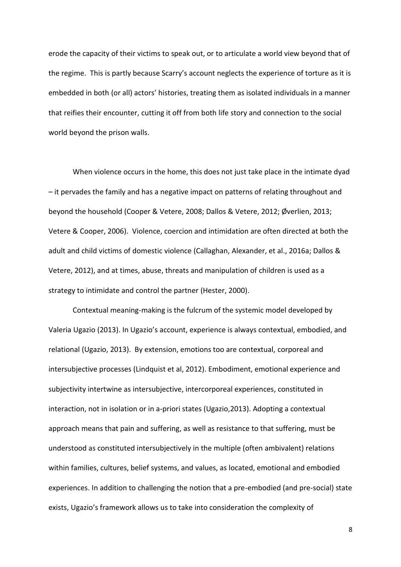erode the capacity of their victims to speak out, or to articulate a world view beyond that of the regime. This is partly because Scarry's account neglects the experience of torture as it is embedded in both (or all) actors' histories, treating them as isolated individuals in a manner that reifies their encounter, cutting it off from both life story and connection to the social world beyond the prison walls.

When violence occurs in the home, this does not just take place in the intimate dyad - it pervades the family and has a negative impact on patterns of relating throughout and beyond the household (Cooper & Vetere, 2008; Dallos & Vetere, 2012; Øverlien, 2013; Vetere & Cooper, 2006). Violence, coercion and intimidation are often directed at both the adult and child victims of domestic violence (Callaghan, Alexander, et al., 2016a; Dallos & Vetere, 2012), and at times, abuse, threats and manipulation of children is used as a strategy to intimidate and control the partner (Hester, 2000).

Contextual meaning-making is the fulcrum of the systemic model developed by Valeria Ugazio (2013). In Ugazio's account, experience is always contextual, embodied, and relational (Ugazio, 2013). By extension, emotions too are contextual, corporeal and intersubjective processes (Lindquist et al, 2012). Embodiment, emotional experience and subjectivity intertwine as intersubjective, intercorporeal experiences, constituted in interaction, not in isolation or in a-priori states (Ugazio, 2013). Adopting a contextual approach means that pain and suffering, as well as resistance to that suffering, must be understood as constituted intersubjectively in the multiple (often ambivalent) relations within families, cultures, belief systems, and values, as located, emotional and embodied experiences. In addition to challenging the notion that a pre-embodied (and pre-social) state exists, Ugazio's framework allows us to take into consideration the complexity of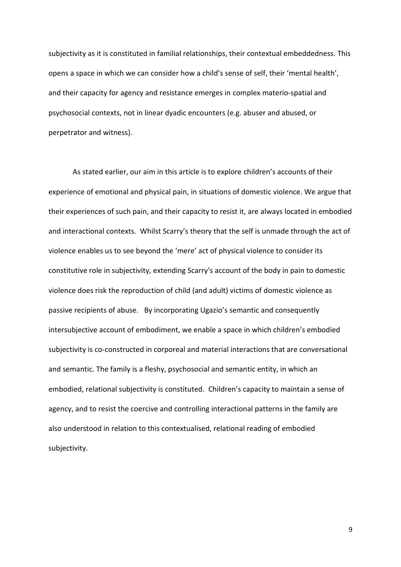subjectivity as it is constituted in familial relationships, their contextual embeddedness. This opens a space in which we can consider how a child's sense of self, their 'mental health', and their capacity for agency and resistance emerges in complex materio-spatial and psychosocial contexts, not in linear dyadic encounters (e.g. abuser and abused, or perpetrator and witness).

As stated earlier, our aim in this article is to explore children's accounts of their experience of emotional and physical pain, in situations of domestic violence. We argue that their experiences of such pain, and their capacity to resist it, are always located in embodied and interactional contexts. Whilst Scarry's theory that the self is unmade through the act of violence enables us to see beyond the 'mere' act of physical violence to consider its constitutive role in subjectivity, extending Scarry's account of the body in pain to domestic violence does risk the reproduction of child (and adult) victims of domestic violence as passive recipients of abuse. By incorporating Ugazio's semantic and consequently intersubjective account of embodiment, we enable a space in which children's embodied subjectivity is co-constructed in corporeal and material interactions that are conversational and semantic. The family is a fleshy, psychosocial and semantic entity, in which an embodied, relational subjectivity is constituted. Children's capacity to maintain a sense of agency, and to resist the coercive and controlling interactional patterns in the family are also understood in relation to this contextualised, relational reading of embodied subjectivity.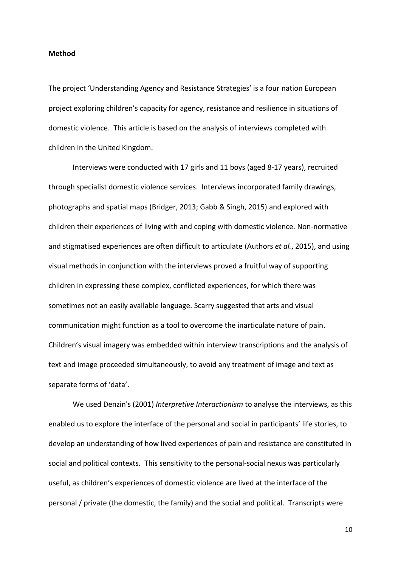#### **Method**

The project 'Understanding Agency and Resistance Strategies' is a four nation European project exploring children's capacity for agency, resistance and resilience in situations of domestic violence. This article is based on the analysis of interviews completed with children in the United Kingdom.

Interviews were conducted with 17 girls and 11 boys (aged 8-17 years), recruited through specialist domestic violence services. Interviews incorporated family drawings, photographs and spatial maps (Bridger, 2013; Gabb & Singh, 2015) and explored with children their experiences of living with and coping with domestic violence. Non-normative and stigmatised experiences are often difficult to articulate (Authors et al., 2015), and using visual methods in conjunction with the interviews proved a fruitful way of supporting children in expressing these complex, conflicted experiences, for which there was sometimes not an easily available language. Scarry suggested that arts and visual communication might function as a tool to overcome the inarticulate nature of pain. Children's visual imagery was embedded within interview transcriptions and the analysis of text and image proceeded simultaneously, to avoid any treatment of image and text as separate forms of 'data'.

We used Denzin's (2001) Interpretive Interactionism to analyse the interviews, as this enabled us to explore the interface of the personal and social in participants' life stories, to develop an understanding of how lived experiences of pain and resistance are constituted in social and political contexts. This sensitivity to the personal-social nexus was particularly useful, as children's experiences of domestic violence are lived at the interface of the personal / private (the domestic, the family) and the social and political. Transcripts were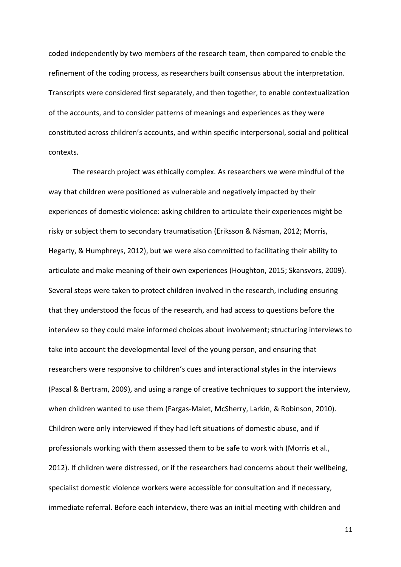coded independently by two members of the research team, then compared to enable the refinement of the coding process, as researchers built consensus about the interpretation. Transcripts were considered first separately, and then together, to enable contextualization of the accounts, and to consider patterns of meanings and experiences as they were constituted across children's accounts, and within specific interpersonal, social and political contexts.

The research project was ethically complex. As researchers we were mindful of the way that children were positioned as vulnerable and negatively impacted by their experiences of domestic violence: asking children to articulate their experiences might be risky or subject them to secondary traumatisation (Eriksson & Näsman, 2012; Morris, Hegarty, & Humphreys, 2012), but we were also committed to facilitating their ability to articulate and make meaning of their own experiences (Houghton, 2015; Skansvors, 2009). Several steps were taken to protect children involved in the research, including ensuring that they understood the focus of the research, and had access to questions before the interview so they could make informed choices about involvement; structuring interviews to take into account the developmental level of the young person, and ensuring that researchers were responsive to children's cues and interactional styles in the interviews (Pascal & Bertram, 2009), and using a range of creative techniques to support the interview, when children wanted to use them (Fargas-Malet, McSherry, Larkin, & Robinson, 2010). Children were only interviewed if they had left situations of domestic abuse, and if professionals working with them assessed them to be safe to work with (Morris et al., 2012). If children were distressed, or if the researchers had concerns about their wellbeing, specialist domestic violence workers were accessible for consultation and if necessary, immediate referral. Before each interview, there was an initial meeting with children and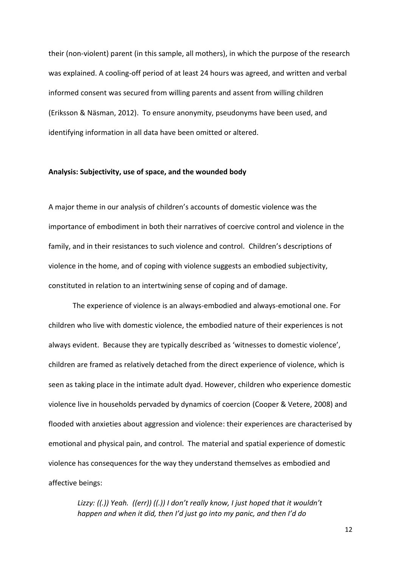their (non-violent) parent (in this sample, all mothers), in which the purpose of the research was explained. A cooling-off period of at least 24 hours was agreed, and written and verbal informed consent was secured from willing parents and assent from willing children (Eriksson & Näsman, 2012). To ensure anonymity, pseudonyms have been used, and identifying information in all data have been omitted or altered.

#### Analysis: Subjectivity, use of space, and the wounded body

A major theme in our analysis of children's accounts of domestic violence was the importance of embodiment in both their narratives of coercive control and violence in the family, and in their resistances to such violence and control. Children's descriptions of violence in the home, and of coping with violence suggests an embodied subjectivity, constituted in relation to an intertwining sense of coping and of damage.

The experience of violence is an always-embodied and always-emotional one. For children who live with domestic violence, the embodied nature of their experiences is not always evident. Because they are typically described as 'witnesses to domestic violence', children are framed as relatively detached from the direct experience of violence, which is seen as taking place in the intimate adult dyad. However, children who experience domestic violence live in households pervaded by dynamics of coercion (Cooper & Vetere, 2008) and flooded with anxieties about aggression and violence: their experiences are characterised by emotional and physical pain, and control. The material and spatial experience of domestic violence has consequences for the way they understand themselves as embodied and affective beings:

Lizzy: ((.)) Yeah. ((err)) ((.)) I don't really know, I just hoped that it wouldn't happen and when it did, then I'd just go into my panic, and then I'd do

 $12<sup>2</sup>$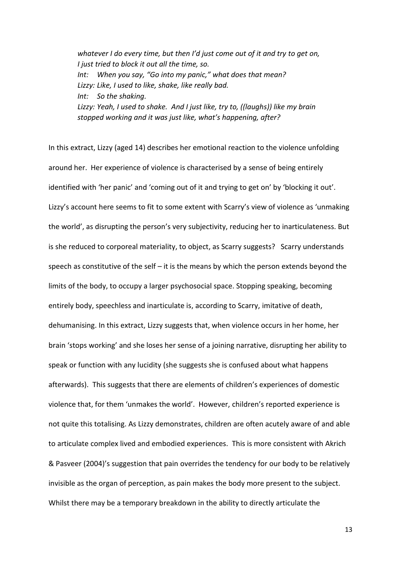whatever I do every time, but then I'd just come out of it and try to get on, I just tried to block it out all the time, so. When you say, "Go into my panic," what does that mean?  $Int:$ Lizzy: Like, I used to like, shake, like really bad. Int: So the shaking. Lizzy: Yeah, I used to shake. And I just like, try to, ((laughs)) like my brain stopped working and it was just like, what's happening, after?

In this extract, Lizzy (aged 14) describes her emotional reaction to the violence unfolding around her. Her experience of violence is characterised by a sense of being entirely identified with 'her panic' and 'coming out of it and trying to get on' by 'blocking it out'. Lizzy's account here seems to fit to some extent with Scarry's view of violence as 'unmaking the world', as disrupting the person's very subjectivity, reducing her to inarticulateness. But is she reduced to corporeal materiality, to object, as Scarry suggests? Scarry understands speech as constitutive of the self  $-$  it is the means by which the person extends beyond the limits of the body, to occupy a larger psychosocial space. Stopping speaking, becoming entirely body, speechless and inarticulate is, according to Scarry, imitative of death, dehumanising. In this extract, Lizzy suggests that, when violence occurs in her home, her brain 'stops working' and she loses her sense of a joining narrative, disrupting her ability to speak or function with any lucidity (she suggests she is confused about what happens afterwards). This suggests that there are elements of children's experiences of domestic violence that, for them 'unmakes the world'. However, children's reported experience is not quite this totalising. As Lizzy demonstrates, children are often acutely aware of and able to articulate complex lived and embodied experiences. This is more consistent with Akrich & Pasveer (2004)'s suggestion that pain overrides the tendency for our body to be relatively invisible as the organ of perception, as pain makes the body more present to the subject. Whilst there may be a temporary breakdown in the ability to directly articulate the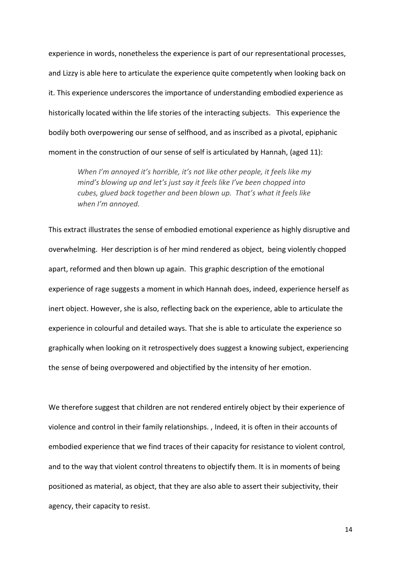experience in words, nonetheless the experience is part of our representational processes, and Lizzy is able here to articulate the experience quite competently when looking back on it. This experience underscores the importance of understanding embodied experience as historically located within the life stories of the interacting subjects. This experience the bodily both overpowering our sense of selfhood, and as inscribed as a pivotal, epiphanic moment in the construction of our sense of self is articulated by Hannah, (aged 11):

*When I'm annoyed it's horrible, it's not like other people, it feels like my mind's blowing up and let's just say it feels like I've been chopped into* cubes, glued back together and been blown up. That's what it feels like when I'm annoved.

This extract illustrates the sense of embodied emotional experience as highly disruptive and overwhelming. Her description is of her mind rendered as object, being violently chopped apart, reformed and then blown up again. This graphic description of the emotional experience of rage suggests a moment in which Hannah does, indeed, experience herself as inert object. However, she is also, reflecting back on the experience, able to articulate the experience in colourful and detailed ways. That she is able to articulate the experience so graphically when looking on it retrospectively does suggest a knowing subject, experiencing the sense of being overpowered and objectified by the intensity of her emotion.

We therefore suggest that children are not rendered entirely object by their experience of violence and control in their family relationships. , Indeed, it is often in their accounts of embodied experience that we find traces of their capacity for resistance to violent control, and to the way that violent control threatens to objectify them. It is in moments of being positioned as material, as object, that they are also able to assert their subjectivity, their agency, their capacity to resist.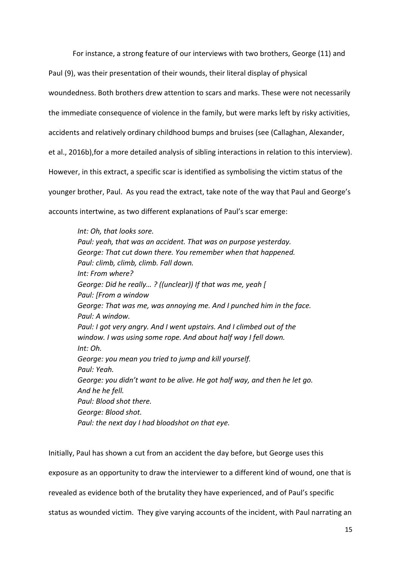For instance, a strong feature of our interviews with two brothers, George (11) and

Paul (9), was their presentation of their wounds, their literal display of physical

woundedness. Both brothers drew attention to scars and marks. These were not necessarily

the immediate consequence of violence in the family, but were marks left by risky activities,

accidents and relatively ordinary childhood bumps and bruises (see (Callaghan, Alexander,

et al., 2016b),for a more detailed analysis of sibling interactions in relation to this interview).

However, in this extract, a specific scar is identified as symbolising the victim status of the

younger brother, Paul. As you read the extract, take note of the way that Paul and George's

accounts intertwine, as two different explanations of Paul's scar emerge:

*Int: Oh, that looks sore. Paul: yeah, that was an accident. That was on purpose yesterday. George: That cut down there. You remember when that happened. Paul: climb, climb, climb. Fall down. Int: From where? George: Did he really...?* ((unclear)) If that was me, yeah [ *Paul: [From a window George: That was me, was annoying me. And I punched him in the face. Paul: A window. Paul: I got very angry. And I went upstairs. And I climbed out of the window. I was using some rope. And about half way I fell down. Int: Oh. George: you mean you tried to jump and kill yourself. Paul: Yeah. George: you didn't want to be alive. He got half way, and then he let go. And he he fell. Paul: Blood shot there. George: Blood shot. Paul: the next day I had bloodshot on that eye.* 

Initially, Paul has shown a cut from an accident the day before, but George uses this exposure as an opportunity to draw the interviewer to a different kind of wound, one that is revealed as evidence both of the brutality they have experienced, and of Paul's specific status as wounded victim. They give varying accounts of the incident, with Paul narrating an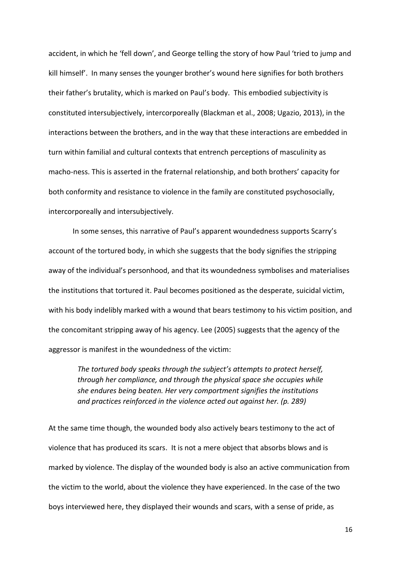accident, in which he 'fell down', and George telling the story of how Paul 'tried to jump and kill himself'. In many senses the younger brother's wound here signifies for both brothers their father's brutality, which is marked on Paul's body. This embodied subjectivity is constituted intersubjectively, intercorporeally (Blackman et al., 2008; Ugazio, 2013), in the interactions between the brothers, and in the way that these interactions are embedded in turn within familial and cultural contexts that entrench perceptions of masculinity as macho-ness. This is asserted in the fraternal relationship, and both brothers' capacity for both conformity and resistance to violence in the family are constituted psychosocially, intercorporeally and intersubjectively.

In some senses, this narrative of Paul's apparent woundedness supports Scarry's account of the tortured body, in which she suggests that the body signifies the stripping away of the individual's personhood, and that its woundedness symbolises and materialises the institutions that tortured it. Paul becomes positioned as the desperate, suicidal victim, with his body indelibly marked with a wound that bears testimony to his victim position, and the concomitant stripping away of his agency. Lee (2005) suggests that the agency of the aggressor is manifest in the woundedness of the victim:

The tortured body speaks through the subject's attempts to protect herself, through her compliance, and through the physical space she occupies while she endures being beaten. Her very comportment signifies the institutions and practices reinforced in the violence acted out against her. (p. 289)

At the same time though, the wounded body also actively bears testimony to the act of violence that has produced its scars. It is not a mere object that absorbs blows and is marked by violence. The display of the wounded body is also an active communication from the victim to the world, about the violence they have experienced. In the case of the two boys interviewed here, they displayed their wounds and scars, with a sense of pride, as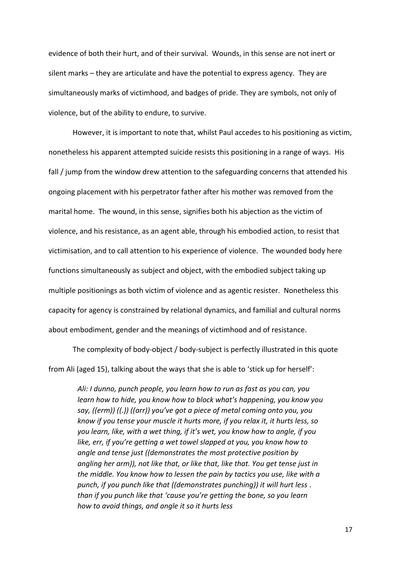evidence of both their hurt, and of their survival. Wounds, in this sense are not inert or silent marks – they are articulate and have the potential to express agency. They are simultaneously marks of victimhood, and badges of pride. They are symbols, not only of violence, but of the ability to endure, to survive.

However, it is important to note that, whilst Paul accedes to his positioning as victim, nonetheless his apparent attempted suicide resists this positioning in a range of ways. His fall / jump from the window drew attention to the safeguarding concerns that attended his ongoing placement with his perpetrator father after his mother was removed from the marital home. The wound, in this sense, signifies both his abjection as the victim of violence, and his resistance, as an agent able, through his embodied action, to resist that victimisation, and to call attention to his experience of violence. The wounded body here functions simultaneously as subject and object, with the embodied subject taking up multiple positionings as both victim of violence and as agentic resister. Nonetheless this capacity for agency is constrained by relational dynamics, and familial and cultural norms about embodiment, gender and the meanings of victimhood and of resistance.

The complexity of body-object / body-subject is perfectly illustrated in this quote from Ali (aged 15), talking about the ways that she is able to 'stick up for herself':

Ali: I dunno, punch people, you learn how to run as fast as you can, you learn how to hide, you know how to block what's happening, you know you say, ((erm)) ((.)) ((arr)) you've got a piece of metal coming onto you, you know if you tense your muscle it hurts more, if you relax it, it hurts less, so you learn, like, with a wet thing, if it's wet, you know how to angle, if you like, err, if you're getting a wet towel slapped at you, you know how to angle and tense just ((demonstrates the most protective position by angling her arm)), not like that, or like that, like that. You get tense just in the middle. You know how to lessen the pain by tactics you use, like with a punch, if you punch like that ((demonstrates punchina)) it will hurt less, than if you punch like that 'cause you're getting the bone, so you learn how to avoid things, and angle it so it hurts less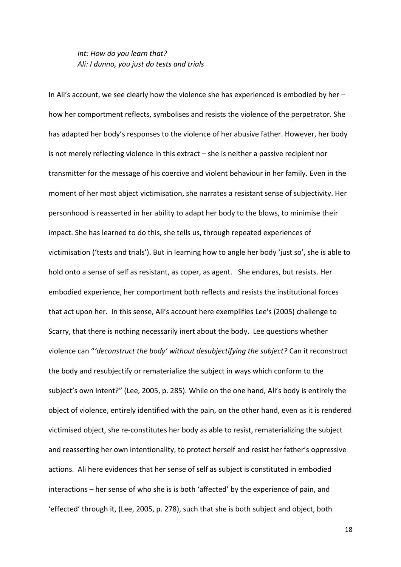Int: How do you learn that? Ali: I dunno, you just do tests and trials

In Ali's account, we see clearly how the violence she has experienced is embodied by her how her comportment reflects, symbolises and resists the violence of the perpetrator. She has adapted her body's responses to the violence of her abusive father. However, her body is not merely reflecting violence in this extract - she is neither a passive recipient nor transmitter for the message of his coercive and violent behaviour in her family. Even in the moment of her most abject victimisation, she narrates a resistant sense of subjectivity. Her personhood is reasserted in her ability to adapt her body to the blows, to minimise their impact. She has learned to do this, she tells us, through repeated experiences of victimisation ('tests and trials'). But in learning how to angle her body 'just so', she is able to hold onto a sense of self as resistant, as coper, as agent. She endures, but resists. Her embodied experience, her comportment both reflects and resists the institutional forces that act upon her. In this sense, Ali's account here exemplifies Lee's (2005) challenge to Scarry, that there is nothing necessarily inert about the body. Lee questions whether violence can "'deconstruct the body' without desubjectifying the subject? Can it reconstruct the body and resubjectify or rematerialize the subject in ways which conform to the subject's own intent?" (Lee, 2005, p. 285). While on the one hand, Ali's body is entirely the object of violence, entirely identified with the pain, on the other hand, even as it is rendered victimised object, she re-constitutes her body as able to resist, rematerializing the subject and reasserting her own intentionality, to protect herself and resist her father's oppressive actions. Ali here evidences that her sense of self as subject is constituted in embodied interactions - her sense of who she is is both 'affected' by the experience of pain, and 'effected' through it, (Lee, 2005, p. 278), such that she is both subject and object, both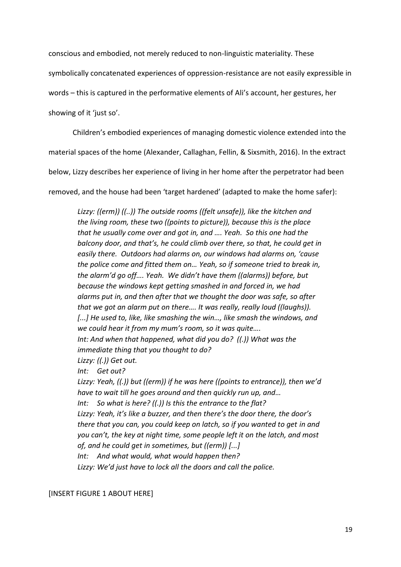conscious and embodied, not merely reduced to non-linguistic materiality. These

symbolically concatenated experiences of oppression-resistance are not easily expressible in

words – this is captured in the performative elements of Ali's account, her gestures, her

showing of it 'just so'.

Children's embodied experiences of managing domestic violence extended into the

material spaces of the home (Alexander, Callaghan, Fellin, & Sixsmith, 2016). In the extract

below, Lizzy describes her experience of living in her home after the perpetrator had been

removed, and the house had been 'target hardened' (adapted to make the home safer):

Lizzy: ((erm)) ((..)) The outside rooms ((felt unsafe)), like the kitchen and the living room, these two ((points to picture)), because this is the place that he usually come over and got in, and .... Yeah. So this one had the balcony door, and that's, he could climb over there, so that, he could get in easily there. Outdoors had alarms on, our windows had alarms on, 'cause the police come and fitted them on... Yeah, so if someone tried to break in, the alarm'd go off.... Yeah. We didn't have them ((alarms)) before, but because the windows kept getting smashed in and forced in, we had alarms put in, and then after that we thought the door was safe, so after that we got an alarm put on there.... It was really, really loud ((laughs)). [...] He used to, like, like smashing the win..., like smash the windows, and we could hear it from my mum's room, so it was quite.... Int: And when that happened, what did you do? ((.)) What was the immediate thing that you thought to do? Lizzy: ((.)) Get out. Int: Get out? Lizzy: Yeah, ((.)) but ((erm)) if he was here ((points to entrance)), then we'd have to wait till he goes around and then quickly run up, and... Int: So what is here? ((.)) Is this the entrance to the flat? Lizzy: Yeah, it's like a buzzer, and then there's the door there, the door's there that you can, you could keep on latch, so if you wanted to get in and you can't, the key at night time, some people left it on the latch, and most of, and he could get in sometimes, but ((erm)) [...] Int: And what would, what would happen then? Lizzy: We'd just have to lock all the doors and call the police.

[INSERT FIGURE 1 ABOUT HERE]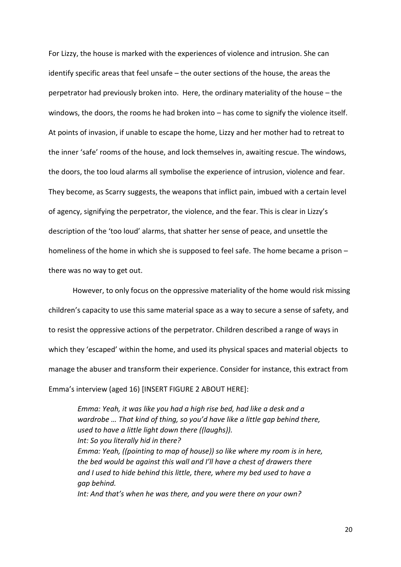For Lizzy, the house is marked with the experiences of violence and intrusion. She can identify specific areas that feel unsafe – the outer sections of the house, the areas the perpetrator had previously broken into. Here, the ordinary materiality of the house - the windows, the doors, the rooms he had broken into  $-$  has come to signify the violence itself. At points of invasion, if unable to escape the home, Lizzy and her mother had to retreat to the inner 'safe' rooms of the house, and lock themselves in, awaiting rescue. The windows, the doors, the too loud alarms all symbolise the experience of intrusion, violence and fear. They become, as Scarry suggests, the weapons that inflict pain, imbued with a certain level of agency, signifying the perpetrator, the violence, and the fear. This is clear in Lizzy's description of the 'too loud' alarms, that shatter her sense of peace, and unsettle the homeliness of the home in which she is supposed to feel safe. The home became a prison there was no way to get out.

However, to only focus on the oppressive materiality of the home would risk missing children's capacity to use this same material space as a way to secure a sense of safety, and to resist the oppressive actions of the perpetrator. Children described a range of ways in which they 'escaped' within the home, and used its physical spaces and material objects to manage the abuser and transform their experience. Consider for instance, this extract from Emma's interview (aged 16) [INSERT FIGURE 2 ABOUT HERE]:

Emma: Yeah, it was like you had a high rise bed, had like a desk and a wardrobe ... That kind of thing, so you'd have like a little gap behind there, used to have a little light down there ((laughs)). Int: So you literally hid in there? Emma: Yeah, ((pointing to map of house)) so like where my room is in here, the bed would be against this wall and I'll have a chest of drawers there and I used to hide behind this little, there, where my bed used to have a aap behind. Int: And that's when he was there, and you were there on your own?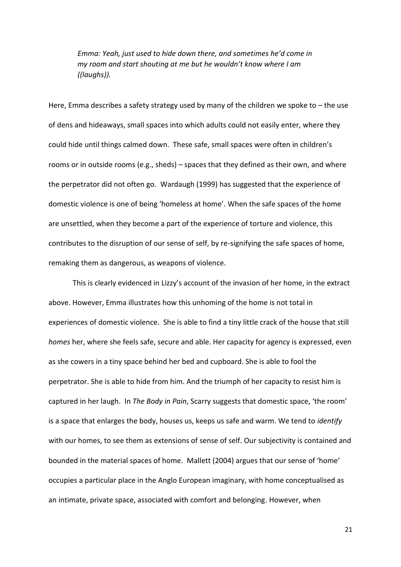Emma: Yeah, just used to hide down there, and sometimes he'd come in my room and start shouting at me but he wouldn't know where I am  $($ laughs $)$ ).

Here, Emma describes a safety strategy used by many of the children we spoke to  $-$  the use of dens and hideaways, small spaces into which adults could not easily enter, where they could hide until things calmed down. These safe, small spaces were often in children's rooms or in outside rooms (e.g., sheds) - spaces that they defined as their own, and where the perpetrator did not often go. Wardaugh (1999) has suggested that the experience of domestic violence is one of being 'homeless at home'. When the safe spaces of the home are unsettled, when they become a part of the experience of torture and violence, this contributes to the disruption of our sense of self, by re-signifying the safe spaces of home, remaking them as dangerous, as weapons of violence.

This is clearly evidenced in Lizzy's account of the invasion of her home, in the extract above. However, Emma illustrates how this unhoming of the home is not total in experiences of domestic violence. She is able to find a tiny little crack of the house that still homes her, where she feels safe, secure and able. Her capacity for agency is expressed, even as she cowers in a tiny space behind her bed and cupboard. She is able to fool the perpetrator. She is able to hide from him. And the triumph of her capacity to resist him is captured in her laugh. In The Body in Pain, Scarry suggests that domestic space, 'the room' is a space that enlarges the body, houses us, keeps us safe and warm. We tend to *identify* with our homes, to see them as extensions of sense of self. Our subjectivity is contained and bounded in the material spaces of home. Mallett (2004) argues that our sense of 'home' occupies a particular place in the Anglo European imaginary, with home conceptualised as an intimate, private space, associated with comfort and belonging. However, when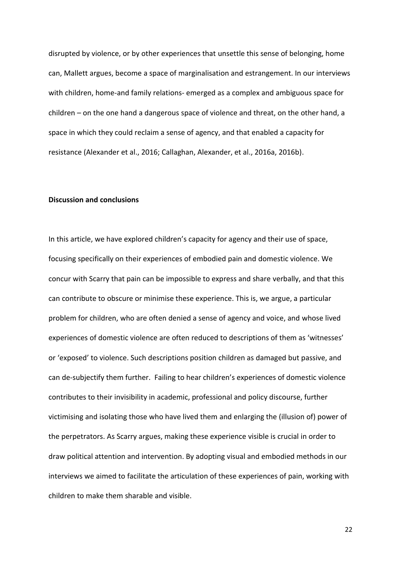disrupted by violence, or by other experiences that unsettle this sense of belonging, home can, Mallett argues, become a space of marginalisation and estrangement. In our interviews with children, home-and family relations- emerged as a complex and ambiguous space for children - on the one hand a dangerous space of violence and threat, on the other hand, a space in which they could reclaim a sense of agency, and that enabled a capacity for resistance (Alexander et al., 2016; Callaghan, Alexander, et al., 2016a, 2016b).

#### **Discussion and conclusions**

In this article, we have explored children's capacity for agency and their use of space, focusing specifically on their experiences of embodied pain and domestic violence. We concur with Scarry that pain can be impossible to express and share verbally, and that this can contribute to obscure or minimise these experience. This is, we argue, a particular problem for children, who are often denied a sense of agency and voice, and whose lived experiences of domestic violence are often reduced to descriptions of them as 'witnesses' or 'exposed' to violence. Such descriptions position children as damaged but passive, and can de-subjectify them further. Failing to hear children's experiences of domestic violence contributes to their invisibility in academic, professional and policy discourse, further victimising and isolating those who have lived them and enlarging the (illusion of) power of the perpetrators. As Scarry argues, making these experience visible is crucial in order to draw political attention and intervention. By adopting visual and embodied methods in our interviews we aimed to facilitate the articulation of these experiences of pain, working with children to make them sharable and visible.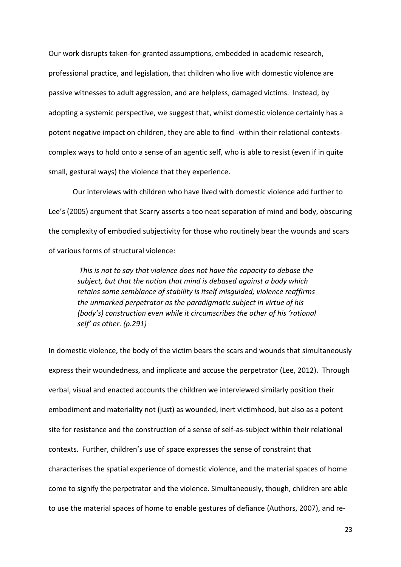Our work disrupts taken-for-granted assumptions, embedded in academic research, professional practice, and legislation, that children who live with domestic violence are passive witnesses to adult aggression, and are helpless, damaged victims. Instead, by adopting a systemic perspective, we suggest that, whilst domestic violence certainly has a potent negative impact on children, they are able to find -within their relational contextscomplex ways to hold onto a sense of an agentic self, who is able to resist (even if in quite small, gestural ways) the violence that they experience.

 Our interviews with children who have lived with domestic violence add further to Lee's (2005) argument that Scarry asserts a too neat separation of mind and body, obscuring the complexity of embodied subjectivity for those who routinely bear the wounds and scars of various forms of structural violence:

 *This is not to say that violence does not have the capacity to debase the subject, but that the notion that mind is debased against a body which retains some semblance of stability is itself misguided; violence reaffirms the unmarked perpetrator as the paradigmatic subject in virtue of his (body's)* construction even while it circumscribes the other of his 'rational *self͛ as other. (p.291)* 

In domestic violence, the body of the victim bears the scars and wounds that simultaneously express their woundedness, and implicate and accuse the perpetrator (Lee, 2012). Through verbal, visual and enacted accounts the children we interviewed similarly position their embodiment and materiality not (just) as wounded, inert victimhood, but also as a potent site for resistance and the construction of a sense of self-as-subject within their relational contexts. Further, children's use of space expresses the sense of constraint that characterises the spatial experience of domestic violence, and the material spaces of home come to signify the perpetrator and the violence. Simultaneously, though, children are able to use the material spaces of home to enable gestures of defiance (Authors, 2007), and re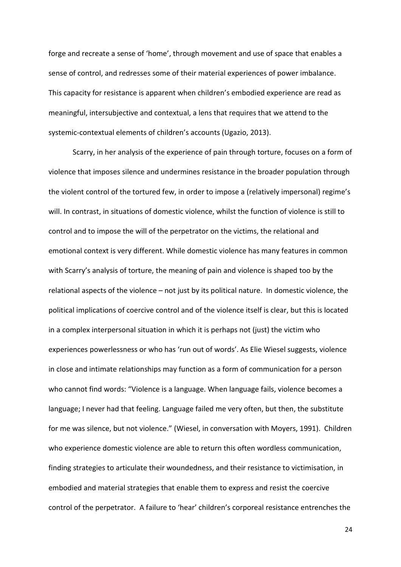forge and recreate a sense of 'home', through movement and use of space that enables a sense of control, and redresses some of their material experiences of power imbalance. This capacity for resistance is apparent when children's embodied experience are read as meaningful, intersubjective and contextual, a lens that requires that we attend to the systemic-contextual elements of children's accounts (Ugazio, 2013).

 Scarry, in her analysis of the experience of pain through torture, focuses on a form of violence that imposes silence and undermines resistance in the broader population through the violent control of the tortured few, in order to impose a (relatively impersonal) regime's will. In contrast, in situations of domestic violence, whilst the function of violence is still to control and to impose the will of the perpetrator on the victims, the relational and emotional context is very different. While domestic violence has many features in common with Scarry's analysis of torture, the meaning of pain and violence is shaped too by the relational aspects of the violence – not just by its political nature. In domestic violence, the political implications of coercive control and of the violence itself is clear, but this is located in a complex interpersonal situation in which it is perhaps not (just) the victim who experiences powerlessness or who has 'run out of words'. As Elie Wiesel suggests, violence in close and intimate relationships may function as a form of communication for a person who cannot find words: "Violence is a language. When language fails, violence becomes a language; I never had that feeling. Language failed me very often, but then, the substitute for me was silence, but not violence." (Wiesel, in conversation with Moyers, 1991). Children who experience domestic violence are able to return this often wordless communication, finding strategies to articulate their woundedness, and their resistance to victimisation, in embodied and material strategies that enable them to express and resist the coercive control of the perpetrator. A failure to 'hear' children's corporeal resistance entrenches the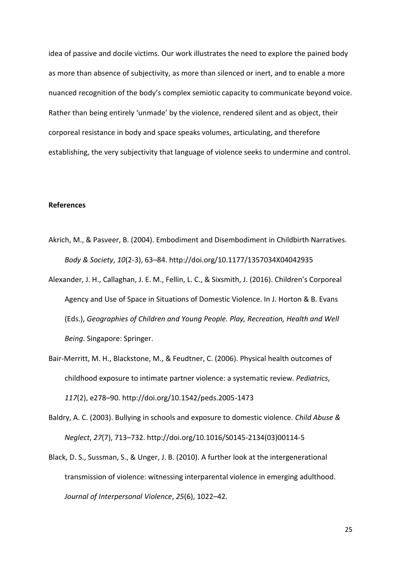idea of passive and docile victims. Our work illustrates the need to explore the pained body as more than absence of subjectivity, as more than silenced or inert, and to enable a more nuanced recognition of the body's complex semiotic capacity to communicate beyond voice. Rather than being entirely 'unmade' by the violence, rendered silent and as object, their corporeal resistance in body and space speaks volumes, articulating, and therefore establishing, the very subjectivity that language of violence seeks to undermine and control.

# **References**

- Akrich, M., & Pasveer, B. (2004). Embodiment and Disembodiment in Childbirth Narratives. *Body & Society*, *10*(2-3), 63–84. http://doi.org/10.1177/1357034X04042935
- Alexander, J. H., Callaghan, J. E. M., Fellin, L. C., & Sixsmith, J. (2016). Children's Corporeal Agency and Use of Space in Situations of Domestic Violence. In J. Horton & B. Evans (Eds.), *Geographies of Children and Young People. Play, Recreation, Health and Well Being*. Singapore: Springer.
- Bair-Merritt, M. H., Blackstone, M., & Feudtner, C. (2006). Physical health outcomes of childhood exposure to intimate partner violence: a systematic review. *Pediatrics*, *117*(2), e278–90. http://doi.org/10.1542/peds.2005-1473
- Baldry, A. C. (2003). Bullying in schools and exposure to domestic violence. *Child Abuse & Neglect*, *27*(7), 713–732. http://doi.org/10.1016/S0145-2134(03)00114-5
- Black, D. S., Sussman, S., & Unger, J. B. (2010). A further look at the intergenerational transmission of violence: witnessing interparental violence in emerging adulthood. *Journal of Interpersonal Violence*, *25*(6), 1022–42.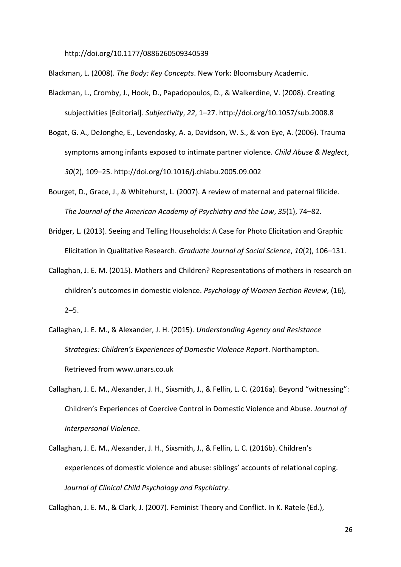http://doi.org/10.1177/0886260509340539

Blackman, L. (2008). The Body: Key Concepts. New York: Bloomsbury Academic.

- Blackman, L., Cromby, J., Hook, D., Papadopoulos, D., & Walkerdine, V. (2008). Creating subjectivities [Editorial]. Subjectivity, 22, 1-27. http://doi.org/10.1057/sub.2008.8
- Bogat, G. A., DeJonghe, E., Levendosky, A. a, Davidson, W. S., & von Eye, A. (2006). Trauma symptoms among infants exposed to intimate partner violence. Child Abuse & Neglect, 30(2), 109-25. http://doi.org/10.1016/j.chiabu.2005.09.002
- Bourget, D., Grace, J., & Whitehurst, L. (2007). A review of maternal and paternal filicide. The Journal of the American Academy of Psychiatry and the Law, 35(1), 74-82.
- Bridger, L. (2013). Seeing and Telling Households: A Case for Photo Elicitation and Graphic Elicitation in Qualitative Research. Graduate Journal of Social Science, 10(2), 106-131.
- Callaghan, J. E. M. (2015). Mothers and Children? Representations of mothers in research on children's outcomes in domestic violence. Psychology of Women Section Review, (16),  $2 - 5.$
- Callaghan, J. E. M., & Alexander, J. H. (2015). Understanding Agency and Resistance Strategies: Children's Experiences of Domestic Violence Report. Northampton. Retrieved from www.unars.co.uk
- Callaghan, J. E. M., Alexander, J. H., Sixsmith, J., & Fellin, L. C. (2016a). Beyond "witnessing": Children's Experiences of Coercive Control in Domestic Violence and Abuse. Journal of Interpersonal Violence.
- Callaghan, J. E. M., Alexander, J. H., Sixsmith, J., & Fellin, L. C. (2016b). Children's experiences of domestic violence and abuse: siblings' accounts of relational coping. Journal of Clinical Child Psychology and Psychiatry.

Callaghan, J. E. M., & Clark, J. (2007). Feminist Theory and Conflict. In K. Ratele (Ed.),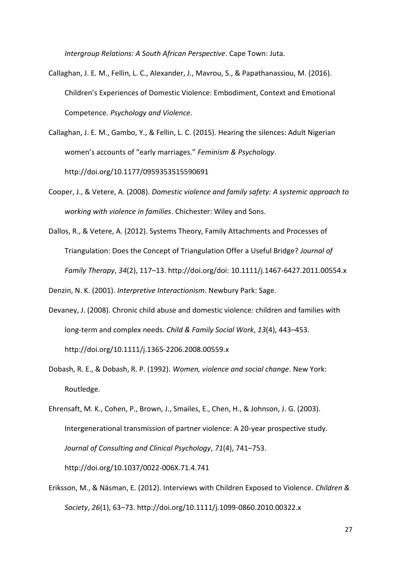Intergroup Relations: A South African Perspective. Cape Town: Juta.

- Callaghan, J. E. M., Fellin, L. C., Alexander, J., Mavrou, S., & Papathanassiou, M. (2016). Children's Experiences of Domestic Violence: Embodiment, Context and Emotional Competence. Psychology and Violence.
- Callaghan, J. E. M., Gambo, Y., & Fellin, L. C. (2015). Hearing the silences: Adult Nigerian women's accounts of "early marriages." Feminism & Psychology. http://doi.org/10.1177/0959353515590691
- Cooper, J., & Vetere, A. (2008). Domestic violence and family safety: A systemic approach to working with violence in families. Chichester: Wiley and Sons.
- Dallos, R., & Vetere, A. (2012). Systems Theory, Family Attachments and Processes of Triangulation: Does the Concept of Triangulation Offer a Useful Bridge? Journal of Family Therapy, 34(2), 117-13. http://doi.org/doi: 10.1111/j.1467-6427.2011.00554.x

Denzin, N. K. (2001). Interpretive Interactionism. Newbury Park: Sage.

- Devaney, J. (2008). Chronic child abuse and domestic violence: children and families with long-term and complex needs. Child & Family Social Work, 13(4), 443-453. http://doi.org/10.1111/j.1365-2206.2008.00559.x
- Dobash, R. E., & Dobash, R. P. (1992). Women, violence and social change. New York: Routledge.

Ehrensaft, M. K., Cohen, P., Brown, J., Smailes, E., Chen, H., & Johnson, J. G. (2003). Intergenerational transmission of partner violence: A 20-year prospective study. Journal of Consulting and Clinical Psychology, 71(4), 741-753. http://doi.org/10.1037/0022-006X.71.4.741

Eriksson, M., & Näsman, E. (2012). Interviews with Children Exposed to Violence. Children & Society, 26(1), 63-73. http://doi.org/10.1111/j.1099-0860.2010.00322.x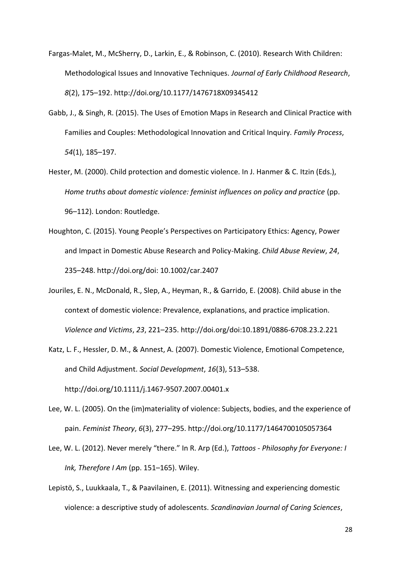- Fargas-Malet, M., McSherry, D., Larkin, E., & Robinson, C. (2010). Research With Children: Methodological Issues and Innovative Techniques. *Journal of Early Childhood Research*, *8*(2), 175–192. http://doi.org/10.1177/1476718X09345412
- Gabb, J., & Singh, R. (2015). The Uses of Emotion Maps in Research and Clinical Practice with Families and Couples: Methodological Innovation and Critical Inquiry. *Family Process*, *54*(1), 185–197.
- Hester, M. (2000). Child protection and domestic violence. In J. Hanmer & C. Itzin (Eds.), *Home truths about domestic violence: feminist influences on policy and practice* (pp. 96–112). London: Routledge.
- Houghton, C. (2015). Young People's Perspectives on Participatory Ethics: Agency, Power and Impact in Domestic Abuse Research and Policy-Making. *Child Abuse Review*, *24*, 235–248. http://doi.org/doi: 10.1002/car.2407
- Jouriles, E. N., McDonald, R., Slep, A., Heyman, R., & Garrido, E. (2008). Child abuse in the context of domestic violence: Prevalence, explanations, and practice implication. *Violence and Victims*, *23*, 221–235. http://doi.org/doi:10.1891/0886-6708.23.2.221
- Katz, L. F., Hessler, D. M., & Annest, A. (2007). Domestic Violence, Emotional Competence, and Child Adjustment. *Social Development*, *16*(3), 513–538. http://doi.org/10.1111/j.1467-9507.2007.00401.x
- Lee, W. L. (2005). On the (im)materiality of violence: Subjects, bodies, and the experience of pain. *Feminist Theory*, *6*(3), 277–295. http://doi.org/10.1177/1464700105057364
- Lee, W. L. (2012). Never merely "there." In R. Arp (Ed.), *Tattoos Philosophy for Everyone: I Ink, Therefore I Am* (pp. 151–165). Wiley.
- Lepistö, S., Luukkaala, T., & Paavilainen, E. (2011). Witnessing and experiencing domestic violence: a descriptive study of adolescents. *Scandinavian Journal of Caring Sciences*,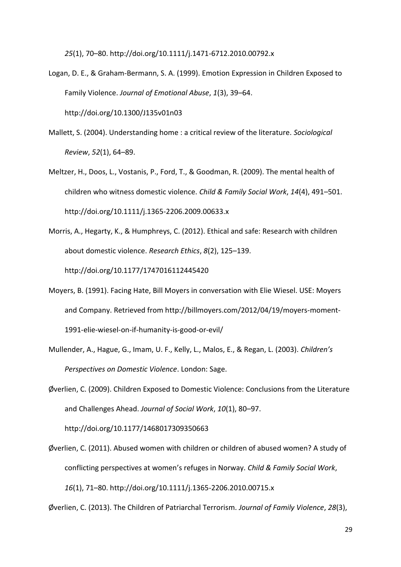*25*(1), 70–80. http://doi.org/10.1111/j.1471-6712.2010.00792.x

- Logan, D. E., & Graham-Bermann, S. A. (1999). Emotion Expression in Children Exposed to Family Violence. *Journal of Emotional Abuse*, *1*(3), 39–64. http://doi.org/10.1300/J135v01n03
- Mallett, S. (2004). Understanding home : a critical review of the literature. Sociological *Review*, *52*(1), 64–89.
- Meltzer, H., Doos, L., Vostanis, P., Ford, T., & Goodman, R. (2009). The mental health of children who witness domestic violence. *Child & Family Social Work*, *14*(4), 491–501. http://doi.org/10.1111/j.1365-2206.2009.00633.x
- Morris, A., Hegarty, K., & Humphreys, C. (2012). Ethical and safe: Research with children about domestic violence. *Research Ethics*, *8*(2), 125–139. http://doi.org/10.1177/1747016112445420
- Moyers, B. (1991). Facing Hate, Bill Moyers in conversation with Elie Wiesel. USE: Moyers and Company. Retrieved from http://billmoyers.com/2012/04/19/moyers-moment-1991-elie-wiesel-on-if-humanity-is-good-or-evil/
- Mullender, A., Hague, G., Imam, U. F., Kelly, L., Malos, E., & Regan, L. (2003). *Children's Perspectives on Domestic Violence*. London: Sage.

Øverlien, C. (2009). Children Exposed to Domestic Violence: Conclusions from the Literature and Challenges Ahead. *Journal of Social Work*, *10*(1), 80–97. http://doi.org/10.1177/1468017309350663

Øverlien, C. (2011). Abused women with children or children of abused women? A study of conflicting perspectives at women's refuges in Norway. Child & Family Social Work, *16*(1), 71–80. http://doi.org/10.1111/j.1365-2206.2010.00715.x

Øverlien, C. (2013). The Children of Patriarchal Terrorism. *Journal of Family Violence*, *28*(3),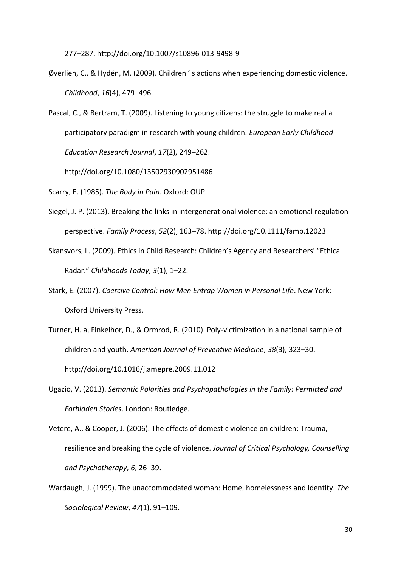277-287. http://doi.org/10.1007/s10896-013-9498-9

- Øverlien, C., & Hydén, M. (2009). Children's actions when experiencing domestic violence. Childhood, 16(4), 479-496.
- Pascal, C., & Bertram, T. (2009). Listening to young citizens: the struggle to make real a participatory paradigm in research with young children. European Early Childhood Education Research Journal, 17(2), 249-262.

http://doi.org/10.1080/13502930902951486

Scarry, E. (1985). The Body in Pain. Oxford: OUP.

- Siegel, J. P. (2013). Breaking the links in intergenerational violence: an emotional regulation perspective. Family Process, 52(2), 163-78. http://doi.org/10.1111/famp.12023
- Skansvors, L. (2009). Ethics in Child Research: Children's Agency and Researchers' "Ethical Radar." Childhoods Today, 3(1), 1-22.
- Stark, E. (2007). Coercive Control: How Men Entrap Women in Personal Life. New York: **Oxford University Press.**
- Turner, H. a, Finkelhor, D., & Ormrod, R. (2010). Poly-victimization in a national sample of children and youth. American Journal of Preventive Medicine, 38(3), 323-30. http://doi.org/10.1016/j.amepre.2009.11.012
- Ugazio, V. (2013). Semantic Polarities and Psychopathologies in the Family: Permitted and Forbidden Stories. London: Routledge.
- Vetere, A., & Cooper, J. (2006). The effects of domestic violence on children: Trauma, resilience and breaking the cycle of violence. Journal of Critical Psychology, Counselling and Psychotherapy, 6, 26-39.
- Wardaugh, J. (1999). The unaccommodated woman: Home, homelessness and identity. The Sociological Review, 47(1), 91-109.